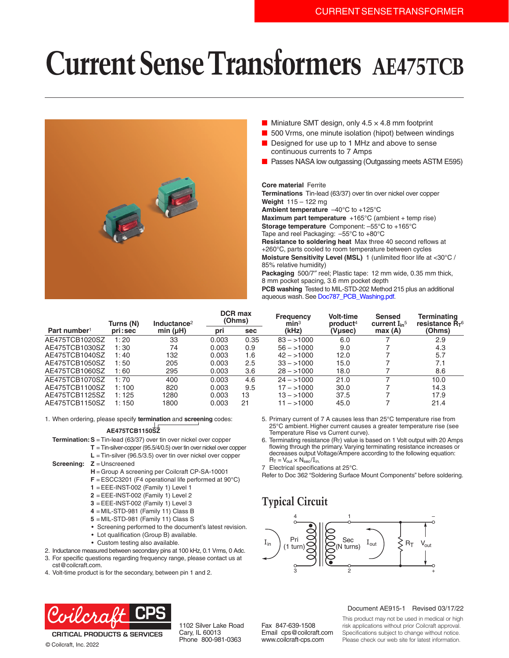# **Current Sense Transformers AE475TCB**



- Miniature SMT design, only  $4.5 \times 4.8$  mm footprint
- 500 Vrms, one minute isolation (hipot) between windings
- Designed for use up to 1 MHz and above to sense continuous currents to 7 Amps
- Passes NASA low outgassing (Outgassing meets ASTM E595)

**Core material** Ferrite

**Terminations** Tin-lead (63/37) over tin over nickel over copper **Weight** 115 – 122 mg **Ambient temperature** –40°C to +125°C **Maximum part temperature** +165°C (ambient + temp rise) **Storage temperature** Component: –55°C to +165°C Tape and reel Packaging: –55°C to +80°C **Resistance to soldering heat** Max three 40 second reflows at

+260°C, parts cooled to room temperature between cycles **Moisture Sensitivity Level (MSL)** 1 (unlimited floor life at <30°C / 85% relative humidity)

**Packaging** 500/7″ reel; Plastic tape: 12 mm wide, 0.35 mm thick, 8 mm pocket spacing, 3.6 mm pocket depth

**PCB washing** Tested to MIL-STD-202 Method 215 plus an additional aqueous wash. See [Doc787\\_PCB\\_Washing.pdf](http://www.coilcraft.com/pdfs/Doc787_PCB_Washing.pdf).

| Part number <sup>1</sup> | Turns (N)<br>pri:sec | Inductance <sup>2</sup><br>min $(\mu H)$ | <b>DCR max</b><br>(Ohms) |      | <b>Frequency</b><br>min <sup>3</sup> | <b>Volt-time</b><br>product <sup>4</sup> | <b>Sensed</b><br>current $\mathbf{I}_{\text{in}}$ <sup>5</sup> | Terminating<br>resistance $Rttau^6$ |
|--------------------------|----------------------|------------------------------------------|--------------------------|------|--------------------------------------|------------------------------------------|----------------------------------------------------------------|-------------------------------------|
|                          |                      |                                          | pri                      | sec  | (kHz)                                | (Vµsec)                                  | max(A)                                                         | (Ohms)                              |
| AE475TCB1020SZ           | 1:20                 | 33                                       | 0.003                    | 0.35 | $83 - 1000$                          | 6.0                                      |                                                                | 2.9                                 |
| AE475TCB1030SZ           | 1:30                 | 74                                       | 0.003                    | 0.9  | $56 - 1000$                          | 9.0                                      |                                                                | 4.3                                 |
| AE475TCB1040SZ           | 1:40                 | 132                                      | 0.003                    | 1.6  | $42 - 1000$                          | 12.0                                     |                                                                | 5.7                                 |
| AE475TCB1050SZ           | 1:50                 | 205                                      | 0.003                    | 2.5  | $33 - 1000$                          | 15.0                                     |                                                                | 7.1                                 |
| AE475TCB1060SZ           | 1:60                 | 295                                      | 0.003                    | 3.6  | $28 - 1000$                          | 18.0                                     |                                                                | 8.6                                 |
| AE475TCB1070SZ           | 1:70                 | 400                                      | 0.003                    | 4.6  | $24 - 1000$                          | 21.0                                     |                                                                | 10.0                                |
| AE475TCB1100SZ           | 1:100                | 820                                      | 0.003                    | 9.5  | $17 - 1000$                          | 30.0                                     |                                                                | 14.3                                |
| AE475TCB1125SZ           | 1:125                | 1280                                     | 0.003                    | 13   | $13 - 1000$                          | 37.5                                     |                                                                | 17.9                                |
| AE475TCB1150SZ           | 1:150                | 1800                                     | 0.003                    | 21   | $11 - 1000$                          | 45.0                                     |                                                                | 21.4                                |

1. When ordering, please specify **termination** and **screening** codes:

### **AE475TCB1150SZ**

**Termination: S** = Tin-lead (63/37) over tin over nickel over copper

**T** = Tin-silver-copper (95.5/4/0.5) over tin over nickel over copper

**L** = Tin-silver (96.5/3.5) over tin over nickel over copper

**Screening: Z** = Unscreened

- **H** = Group A screening per Coilcraft CP-SA-10001
- **F** = ESCC3201 (F4 operational life performed at 90°C)
- **1** =EEE-INST-002 (Family 1) Level 1
- **2** =EEE-INST-002 (Family 1) Level 2
- **3** =EEE-INST-002 (Family 1) Level 3
- **4** = MIL-STD-981 (Family 11) Class B
- **5** = MIL-STD-981 (Family 11) Class S
- Screening performed to the document's latest revision.
- Lot qualification (Group B) available.
- Custom testing also available.
- 2. Inductance measured between secondary pins at 100 kHz, 0.1 Vrms, 0 Adc.
- 3. For specific questions regarding frequency range, please contact us at cst@coilcraft.com.
- 4. Volt-time product is for the secondary, between pin 1 and 2.



**CRITICAL PRODUCTS & SERVICES** 

© Coilcraft, Inc. 2022

1102 Silver Lake Road Cary, IL 60013 Phone 800-981-0363

Fax 847-639-1508 Email cps@coilcraft.com www.coilcraft-cps.com

Document AE915-1 Revised 03/17/22

This product may not be used in medical or high risk applications without prior Coilcraft approval. Specifications subject to change without notice. Please check our web site for latest information.

5. Primary current of 7 A causes less than 25°C temperature rise from 25°C ambient. Higher current causes a greater temperature rise (see Temperature Rise vs Current curve). 6. Terminating resistance  $(R_T)$  value is based on 1 Volt output with 20 Amps flowing through the primary. Varying terminating resistance increases or

decreases output Voltage/Ampere according to the following equation:  $R_T = V_{out} \times N_{sec}/I_{in.}$ 

7 Electrical specifications at 25°C.

Refer to Doc 362 "Soldering Surface Mount Components" before soldering.

# **Typical Circuit**